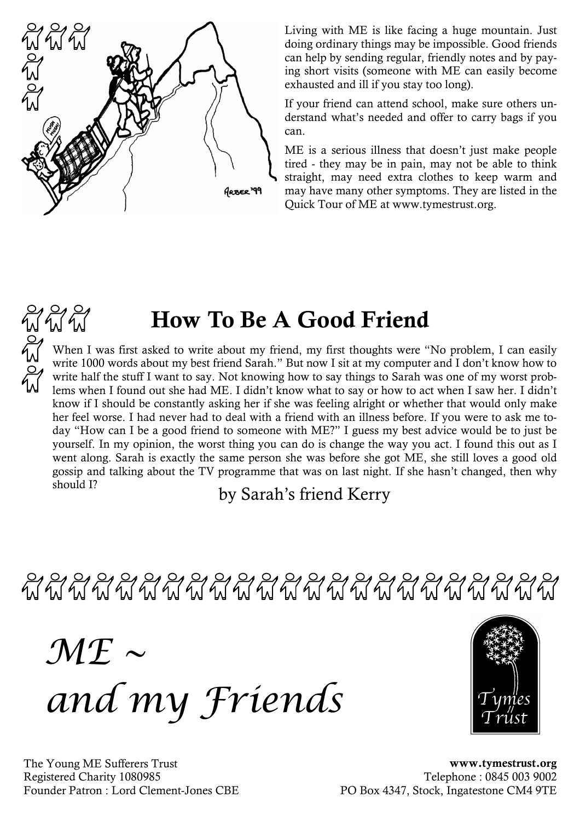

 $W^{2}W^{2}$ 

Living with ME is like facing a huge mountain. Just doing ordinary things may be impossible. Good friends can help by sending regular, friendly notes and by paying short visits (someone with ME can easily become exhausted and ill if you stay too long).

If your friend can attend school, make sure others understand what's needed and offer to carry bags if you can.

ME is a serious illness that doesn't just make people tired - they may be in pain, may not be able to think straight, may need extra clothes to keep warm and may have many other symptoms. They are listed in the Quick Tour of ME at www.tymestrust.org.

## How To Be A Good Friend

When I was first asked to write about my friend, my first thoughts were "No problem, I can easily write 1000 words about my best friend Sarah." But now I sit at my computer and I don't know how to write half the stuff I want to say. Not knowing how to say things to Sarah was one of my worst problems when I found out she had ME. I didn't know what to say or how to act when I saw her. I didn't know if I should be constantly asking her if she was feeling alright or whether that would only make her feel worse. I had never had to deal with a friend with an illness before. If you were to ask me today "How can I be a good friend to someone with ME?" I guess my best advice would be to just be yourself. In my opinion, the worst thing you can do is change the way you act. I found this out as I went along. Sarah is exactly the same person she was before she got ME, she still loves a good old gossip and talking about the TV programme that was on last night. If she hasn't changed, then why should I?

by Sarah's friend Kerry

 $\mathcal{M}\mathcal{F} \sim$ and my Friends



The Young ME Sufferers Trust Registered Charity 1080985 Founder Patron : Lord Clement-Jones CBE